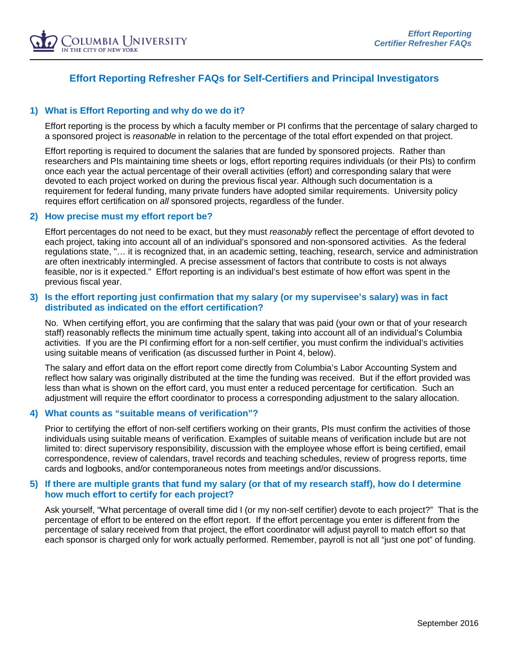

# **Effort Reporting Refresher FAQs for Self-Certifiers and Principal Investigators**

## **1) What is Effort Reporting and why do we do it?**

Effort reporting is the process by which a faculty member or PI confirms that the percentage of salary charged to a sponsored project is *reasonable* in relation to the percentage of the total effort expended on that project.

Effort reporting is required to document the salaries that are funded by sponsored projects. Rather than researchers and PIs maintaining time sheets or logs, effort reporting requires individuals (or their PIs) to confirm once each year the actual percentage of their overall activities (effort) and corresponding salary that were devoted to each project worked on during the previous fiscal year. Although such documentation is a requirement for federal funding, many private funders have adopted similar requirements. University policy requires effort certification on *all* sponsored projects, regardless of the funder.

### **2) How precise must my effort report be?**

Effort percentages do not need to be exact, but they must *reasonably* reflect the percentage of effort devoted to each project, taking into account all of an individual's sponsored and non-sponsored activities. As the federal regulations state, "… it is recognized that, in an academic setting, teaching, research, service and administration are often inextricably intermingled. A precise assessment of factors that contribute to costs is not always feasible, nor is it expected." Effort reporting is an individual's best estimate of how effort was spent in the previous fiscal year.

# **3) Is the effort reporting just confirmation that my salary (or my supervisee's salary) was in fact distributed as indicated on the effort certification?**

No. When certifying effort, you are confirming that the salary that was paid (your own or that of your research staff) reasonably reflects the minimum time actually spent, taking into account all of an individual's Columbia activities. If you are the PI confirming effort for a non-self certifier, you must confirm the individual's activities using suitable means of verification (as discussed further in Point 4, below).

The salary and effort data on the effort report come directly from Columbia's Labor Accounting System and reflect how salary was originally distributed at the time the funding was received. But if the effort provided was less than what is shown on the effort card, you must enter a reduced percentage for certification. Such an adjustment will require the effort coordinator to process a corresponding adjustment to the salary allocation.

### **4) What counts as "suitable means of verification"?**

Prior to certifying the effort of non-self certifiers working on their grants, PIs must confirm the activities of those individuals using suitable means of verification. Examples of suitable means of verification include but are not limited to: direct supervisory responsibility, discussion with the employee whose effort is being certified, email correspondence, review of calendars, travel records and teaching schedules, review of progress reports, time cards and logbooks, and/or contemporaneous notes from meetings and/or discussions.

### **5) If there are multiple grants that fund my salary (or that of my research staff), how do I determine how much effort to certify for each project?**

Ask yourself, "What percentage of overall time did I (or my non-self certifier) devote to each project?" That is the percentage of effort to be entered on the effort report. If the effort percentage you enter is different from the percentage of salary received from that project, the effort coordinator will adjust payroll to match effort so that each sponsor is charged only for work actually performed. Remember, payroll is not all "just one pot" of funding.